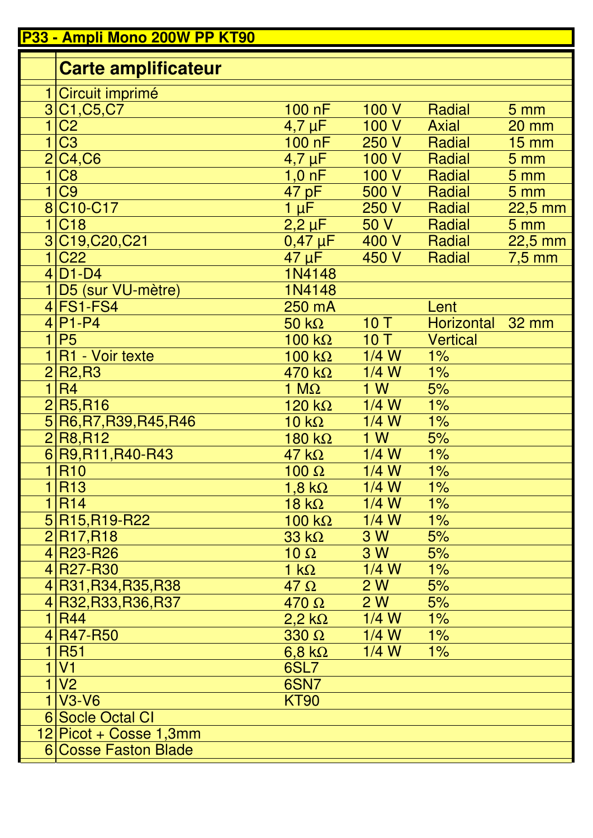|                | P33 - Ampli Mono 200W PP KT90                                         |                      |         |                  |                 |
|----------------|-----------------------------------------------------------------------|----------------------|---------|------------------|-----------------|
|                | <b>Carte amplificateur</b>                                            |                      |         |                  |                 |
|                |                                                                       |                      |         |                  |                 |
|                | Circuit imprimé<br>3 C <sub>1</sub> , C <sub>5</sub> , C <sub>7</sub> | $100$ nF             | 100 V   | Radial           | 5 <sub>mm</sub> |
|                | C <sub>2</sub>                                                        | $4,7 \mu F$          | 100 V   | <b>Axial</b>     | $20$ mm         |
|                | C <sub>3</sub>                                                        | 100 nF               | 250 V   | Radial           | $15 \text{ mm}$ |
|                | 2 C4,C6                                                               | $4,7 \mu F$          | 100 V   | Radial           | 5 mm            |
| $\mathbf{1}$   | C <sub>8</sub>                                                        | $1,0 \text{ nF}$     | 100 V   | Radial           | 5 <sub>mm</sub> |
| 1              | C <sub>9</sub>                                                        | 47 pF                | 500 V   | Radial           | 5 <sub>mm</sub> |
|                | 8 C10-C17                                                             | $1 \mu F$            | 250 V   | Radial           | $22,5$ mm       |
| $\overline{1}$ | C <sub>18</sub>                                                       | $2,2 \mu F$          | 50V     | Radial           | 5 <sub>mm</sub> |
|                | 3C19,C20,C21                                                          | $0,47 \,\mu F$       | 400 V   | Radial           | $22,5$ mm       |
| $\mathbf 1$    | C <sub>22</sub>                                                       | $47 \mu F$           | 450 V   | Radial           | $7,5$ mm        |
|                | $4 D1-D4$                                                             | 1N4148               |         |                  |                 |
|                | 1 D5 (sur VU-mètre)                                                   | 1N4148               |         |                  |                 |
|                | $4$ FS1-FS4                                                           | 250 mA               |         | Lent             |                 |
|                | $4 P1-P4 $                                                            | $50 k\Omega$         | 10T     | Horizontal 32 mm |                 |
| $\mathbf 1$    | <b>P5</b>                                                             | $100 k\Omega$        | 10T     | <b>Vertical</b>  |                 |
|                | R1 - Voir texte                                                       | 100 $k\Omega$        | $1/4$ W | 1%               |                 |
|                | 2 R2,R3                                                               | $470 k\Omega$        | $1/4$ W | 1%               |                 |
| $\mathbf 1$    | <b>R4</b>                                                             | 1 $M\Omega$          | 1 W     | 5%               |                 |
|                | 2 R5, R16                                                             | 120 k $\Omega$       | $1/4$ W | 1%               |                 |
|                | 5R6, R7, R39, R45, R46                                                | $10 k\Omega$         | $1/4$ W | 1%               |                 |
|                | 2 R8, R12                                                             | $180 k\Omega$        | 1 W     | 5%               |                 |
|                | 6 R9, R11, R40-R43                                                    | $47 k\Omega$         | $1/4$ W | 1%               |                 |
|                | 1 R10                                                                 | $100 \Omega$         | $1/4$ W | $1\%$            |                 |
|                | 1 R13                                                                 | 1,8 k $\Omega$       | $1/4$ W | $1\%$            |                 |
|                | 1 R14                                                                 | $18 \text{ k}\Omega$ | $1/4$ W | $1\%$            |                 |
|                | 5 R15, R19-R22                                                        | 100 k $\Omega$       | $1/4$ W | $1\%$            |                 |
|                | 2 R17,R18                                                             | $33 k\Omega$         | 3 W     | 5%               |                 |
|                | 4R23-R26                                                              | $10 \Omega$          | 3 W     | 5%               |                 |
|                | 4R27-R <sub>30</sub>                                                  | $1 k\Omega$          | $1/4$ W | 1%               |                 |
|                | 4R31, R34, R35, R38                                                   | $47 \Omega$          | 2W      | 5%               |                 |
|                | 4R32, R33, R36, R37                                                   | $470 \Omega$         | 2W      | 5%               |                 |
|                | 1 R44                                                                 | $2,2$ k $\Omega$     | $1/4$ W | $1\%$            |                 |
|                | 4R47-R50                                                              | $330 \Omega$         | $1/4$ W | $1\%$            |                 |
|                | <b>R51</b>                                                            | $6,8$ k $\Omega$     | $1/4$ W | $1\%$            |                 |
| 1              | V <sub>1</sub>                                                        | 6SL7                 |         |                  |                 |
| $\mathbf 1$    | V <sub>2</sub>                                                        | 6SN7                 |         |                  |                 |
|                | $1 V3-V6 $                                                            | <b>KT90</b>          |         |                  |                 |
|                | 6 Socle Octal CI                                                      |                      |         |                  |                 |
|                | 12 Picot + Cosse 1,3mm                                                |                      |         |                  |                 |
|                | 6 Cosse Faston Blade                                                  |                      |         |                  |                 |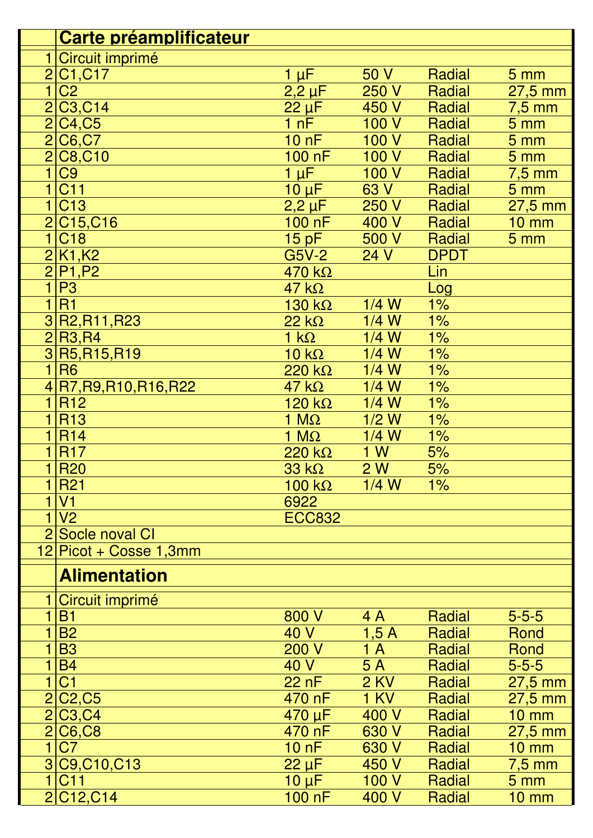|                | Carte préamplificateur              |                 |             |             |                   |
|----------------|-------------------------------------|-----------------|-------------|-------------|-------------------|
|                | Circuit imprimé                     |                 |             |             |                   |
| $\overline{2}$ | C1, C17                             | $1 \mu F$       | 50 V        | Radial      | 5 <sub>mm</sub>   |
| $\overline{1}$ | C <sub>2</sub>                      | $2,2 \mu F$     | 250 V       | Radial      | $27,5$ mm         |
| $\overline{2}$ | C <sub>3</sub> , C <sub>14</sub>    | $22 \mu F$      | 450 V       | Radial      | $7,5$ mm          |
| $\overline{2}$ | C4, C5                              | 1 nF            | 100V        | Radial      | 5 <sub>mm</sub>   |
| $\overline{2}$ | C6, C7                              | 10 nF           | 100 V       | Radial      | 5 <sub>mm</sub>   |
| $\overline{2}$ | C8, C10                             | $100$ nF        | 100 V       | Radial      | 5 <sub>mm</sub>   |
| $\overline{1}$ | C <sub>9</sub>                      | $1 \mu F$       | 100 V       | Radial      | $7,5$ mm          |
| $\overline{1}$ | <b>C11</b>                          | $10 \mu F$      | 63 V        | Radial      | 5 <sub>mm</sub>   |
| $\overline{1}$ | C <sub>13</sub>                     | $2,2 \mu F$     | 250 V       | Radial      | 27,5 mm           |
|                | 2 C15,C16                           | 100 nF          | 400 V       | Radial      | <b>10 mm</b>      |
| $\mathbf 1$    | C <sub>18</sub>                     | 15pF            | 500 V       | Radial      | 5 <sub>mm</sub>   |
| $\overline{2}$ | K1,K2                               | $G5V-2$         | 24 V        | <b>DPDT</b> |                   |
|                | $2$ P <sub>1</sub> , P <sub>2</sub> | $470 k\Omega$   |             | Lin         |                   |
| $\overline{1}$ | P <sub>3</sub>                      | $47 k\Omega$    |             | Log         |                   |
| $\overline{1}$ | <b>R1</b>                           | $130 k\Omega$   | $1/4$ W     | $1\%$       |                   |
|                | 3R2, R11, R23                       | $22 k\Omega$    | $1/4$ W     | $1\%$       |                   |
| $\overline{2}$ | <b>R3,R4</b>                        | $1 k\Omega$     | $1/4$ W     | $1\%$       |                   |
|                | 3R5,R15,R19                         | $10 k\Omega$    | $1/4$ W     | 1%          |                   |
| $\mathbf{1}$   | <b>R6</b>                           | $220 k\Omega$   | $1/4$ W     | $1\%$       |                   |
|                | 4R7, R9, R10, R16, R22              | $47$ k $\Omega$ | $1/4$ W     | 1%          |                   |
| $\mathbf 1$    | R <sub>12</sub>                     | $120 k\Omega$   | $1/4$ W     | $1\%$       |                   |
| $\mathbf{1}$   | <b>R13</b>                          | 1 $M\Omega$     | $1/2$ W     | 1%          |                   |
| 1              | <b>R14</b>                          | 1 $M\Omega$     | $1/4$ W     | 1%          |                   |
|                | <b>R17</b>                          | $220 k\Omega$   | 1 W         | 5%          |                   |
| $\mathbf{1}$   | <b>R20</b>                          | $33 k\Omega$    | 2W          | 5%          |                   |
| 1              | <b>R21</b>                          | 100 $k\Omega$   | $1/4$ W     | $1\%$       |                   |
| 1              | V <sub>1</sub>                      | 6922            |             |             |                   |
| $\overline{1}$ | V <sub>2</sub>                      | <b>ECC832</b>   |             |             |                   |
| $\overline{2}$ | Socle noval CI                      |                 |             |             |                   |
|                | 12 Picot + Cosse 1,3mm              |                 |             |             |                   |
|                | <b>Alimentation</b>                 |                 |             |             |                   |
|                | Circuit imprimé                     |                 |             |             |                   |
| 1              | <b>B1</b>                           | 800 V           | 4 A         | Radial      | $5 - 5 - 5$       |
|                | <b>B2</b>                           | 40 V            | 1,5A        | Radial      | Rond              |
| 1              | <b>B3</b>                           | <b>200 V</b>    | 1A          | Radial      | Rond              |
| $\overline{1}$ | <b>B4</b>                           | 40 V            | 5A          | Radial      | $5 - 5 - 5$       |
| $\mathbf{1}$   | C <sub>1</sub>                      | 22 nF           | <b>2 KV</b> | Radial      | $27,5$ mm         |
| $\overline{2}$ | C <sub>2</sub> , C <sub>5</sub>     | 470 nF          | <b>1 KV</b> | Radial      | $27,5$ mm         |
| $\overline{2}$ | C <sub>3</sub> , C <sub>4</sub>     | 470 µF          | 400 V       | Radial      | $10 \, \text{mm}$ |
| $\overline{2}$ | <b>C6,C8</b>                        | 470 nF          | 630 V       | Radial      | $27,5$ mm         |
| $\overline{1}$ | C <sub>7</sub>                      | 10nF            | 630 V       | Radial      | <b>10 mm</b>      |
|                | 3 C9, C10, C13                      | $22 \mu F$      | 450 V       | Radial      | $7,5$ mm          |
| $\mathbf{1}$   | <b>C11</b>                          | $10 \mu F$      | 100 V       | Radial      | 5 <sub>mm</sub>   |
|                | 2 C12, C14                          | 100 nF          | 400 V       | Radial      | <b>10 mm</b>      |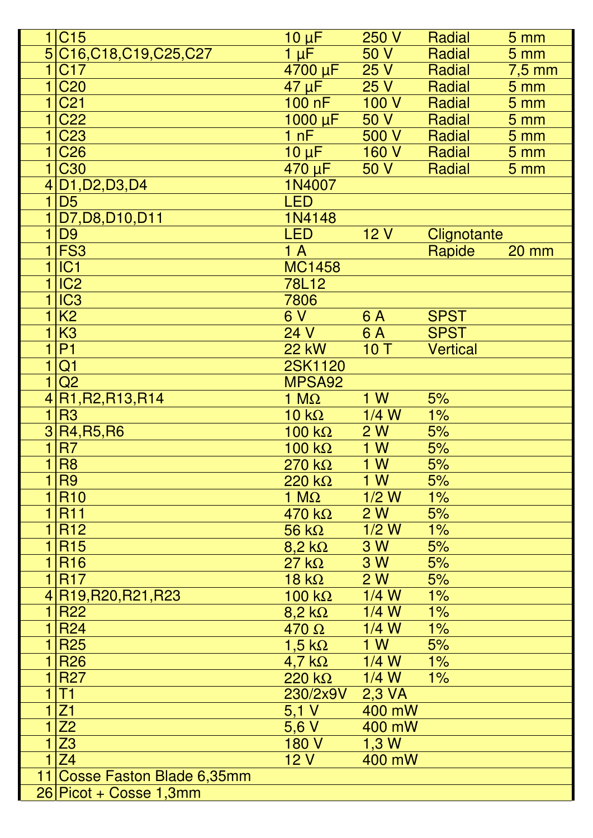|                | 1 C15                        | $10 \mu F$         | 250 V   | Radial          | 5 <sub>mm</sub>   |
|----------------|------------------------------|--------------------|---------|-----------------|-------------------|
|                | 5C16,C18,C19,C25,C27         | $1 \mu F$          | 50 V    | Radial          | 5 <sub>mm</sub>   |
| 1              | C <sub>17</sub>              | 4700 µF            | 25V     | Radial          | $7,5$ mm          |
| $\mathbf 1$    | <b>C20</b>                   | $47 \mu F$         | 25V     | Radial          | 5 <sub>mm</sub>   |
| $\mathbf{1}$   | C <sub>21</sub>              | 100 nF             | 100V    | Radial          | 5 <sub>mm</sub>   |
| $\mathbf 1$    | C <sub>22</sub>              | $1000 \mu F$       | 50 V    | Radial          | 5 <sub>mm</sub>   |
| 1              | <b>C23</b>                   | 1 nF               | 500V    | Radial          | 5 <sub>mm</sub>   |
| 1              | <b>C26</b>                   | $10 \mu F$         | 160 V   | Radial          | 5 <sub>mm</sub>   |
| $\mathbf{1}$   | <b>C30</b>                   | $470 \,\mu F$ 50 V |         | Radial          | 5 <sub>mm</sub>   |
|                | 4 D1, D2, D3, D4             | 1N4007             |         |                 |                   |
| $\mathbf 1$    | D <sub>5</sub>               | <b>LED</b>         |         |                 |                   |
|                | D7, D8, D10, D11             | 1N4148             |         |                 |                   |
| $\mathbf{1}$   | D <sub>9</sub>               | <b>LED</b>         | 12V     | Clignotante     |                   |
|                | $1$ FS3                      | 1A                 |         | Rapide          | $20 \, \text{mm}$ |
| 1              | IC1                          | <b>MC1458</b>      |         |                 |                   |
| $\mathbf{1}$   | IC <sub>2</sub>              | 78L12              |         |                 |                   |
| $\mathbf 1$    | IC <sub>3</sub>              | 7806               |         |                 |                   |
| 1              | K <sub>2</sub>               | 6 V                | 6 A     | <b>SPST</b>     |                   |
| 1              | K <sub>3</sub>               | 24 V               | 6 A     | <b>SPST</b>     |                   |
| $\overline{1}$ | P <sub>1</sub>               | <b>22 kW</b>       | 10T     | <b>Vertical</b> |                   |
| $\overline{1}$ | Q <sub>1</sub>               | 2SK1120            |         |                 |                   |
| $\mathbf{1}$   | Q2                           | MPSA92             |         |                 |                   |
|                | R1, R2, R13, R14             | 1 $M\Omega$        | 1 W     | 5%              |                   |
| $\overline{1}$ | R <sub>3</sub>               | $10 k\Omega$       | $1/4$ W | 1%              |                   |
|                | 3R4, R5, R6                  | 100 k $\Omega$     | 2W      | 5%              |                   |
| $\mathbf{1}$   | R <sub>7</sub>               | 100 k $\Omega$     | 1 W     | 5%              |                   |
| 1              | R <sub>8</sub>               | $270 k\Omega$      | 1 W     | 5%              |                   |
| $\mathbf 1$    | R <sub>9</sub>               | $220 k\Omega$      | 1 W     | 5%              |                   |
| $\mathbf 1$    | <b>R10</b>                   | 1 $M\Omega$        | $1/2$ W | 1%              |                   |
| 1              | <b>R11</b>                   | $470 k\Omega$      | 2 W     | 5%              |                   |
| 11             | <b>R12</b>                   | $56 k\Omega$       | $1/2$ W | $1\%$           |                   |
| $\mathbf{1}$   | <b>R15</b>                   | $8.2 k\Omega$      | 3 W     | 5%              |                   |
| 1 <sup>1</sup> | <b>R16</b>                   | $27 k\Omega$       | 3 W     | 5%              |                   |
|                | 1 R17                        | $18 k\Omega$       | 2W      | 5%              |                   |
|                | 4R19, R20, R21, R23          | $100 k\Omega$      | $1/4$ W | 1%              |                   |
| $\mathbf 1$    | <b>R22</b>                   | $8,2 k\Omega$      | $1/4$ W | 1%              |                   |
| $\mathbf{1}$   | <b>R24</b>                   | $470 \Omega$       | $1/4$ W | 1%              |                   |
| 1 <sup>1</sup> | <b>R25</b>                   | $1,5$ k $\Omega$   | 1W      | 5%              |                   |
|                | 1 R26                        | $4,7$ k $\Omega$   | $1/4$ W | 1%              |                   |
|                | <b>R27</b>                   | $220 k\Omega$      | $1/4$ W | $1\%$           |                   |
| 1              | T1                           | 230/2x9V           | 2,3 VA  |                 |                   |
| 1              | Z1                           | 5,1 V              | 400 mW  |                 |                   |
| $\mathbf{1}$   | $\overline{Z}2$              | 5,6V               | 400 mW  |                 |                   |
| $\mathbf{1}$   | Z3                           | 180 V              | 1,3 W   |                 |                   |
| $\mathbf{1}$   | Z <sub>4</sub>               | <b>12 V</b>        | 400 mW  |                 |                   |
|                | 11 Cosse Faston Blade 6,35mm |                    |         |                 |                   |
|                | 26 Picot + Cosse 1,3mm       |                    |         |                 |                   |
|                |                              |                    |         |                 |                   |